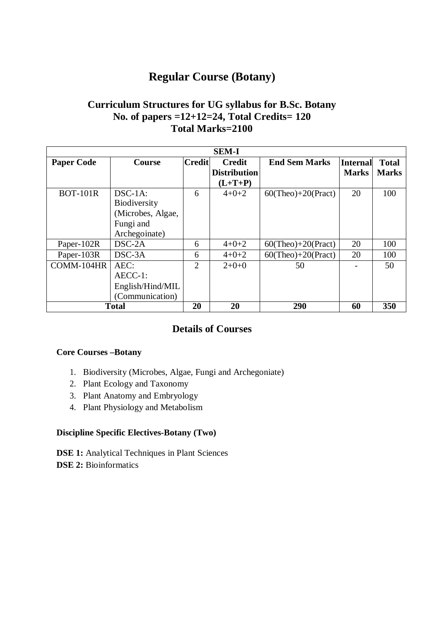# **Regular Course (Botany)**

## **Curriculum Structures for UG syllabus for B.Sc. Botany No. of papers =12+12=24, Total Credits= 120 Total Marks=2100**

| <b>SEM-I</b>      |                     |                |                     |                           |              |              |
|-------------------|---------------------|----------------|---------------------|---------------------------|--------------|--------------|
| <b>Paper Code</b> | <b>Course</b>       | <b>Credit</b>  | <b>Credit</b>       | <b>End Sem Marks</b>      | Internal     | <b>Total</b> |
|                   |                     |                | <b>Distribution</b> |                           | <b>Marks</b> | <b>Marks</b> |
|                   |                     |                | $(L+T+P)$           |                           |              |              |
| <b>BOT-101R</b>   | $DSC-1A$ :          | 6              | $4 + 0 + 2$         | $60$ (Theo)+20(Pract)     | 20           | 100          |
|                   | <b>Biodiversity</b> |                |                     |                           |              |              |
|                   | (Microbes, Algae,   |                |                     |                           |              |              |
|                   | Fungi and           |                |                     |                           |              |              |
|                   | Archegoinate)       |                |                     |                           |              |              |
| Paper-102R        | DSC-2A              | 6              | $4 + 0 + 2$         | $60$ (Theo) $+20$ (Pract) | 20           | 100          |
| Paper-103R        | $DSC-3A$            | 6              | $4 + 0 + 2$         | $60$ (Theo)+20(Pract)     | 20           | 100          |
| COMM-104HR        | AEC:                | $\mathfrak{D}$ | $2+0+0$             | 50                        |              | 50           |
|                   | AECC-1:             |                |                     |                           |              |              |
|                   | English/Hind/MIL    |                |                     |                           |              |              |
|                   | (Communication)     |                |                     |                           |              |              |
| <b>Total</b>      |                     | 20             | 20                  | 290                       | 60           | 350          |

# **Details of Courses**

#### **Core Courses –Botany**

- 1. Biodiversity (Microbes, Algae, Fungi and Archegoniate)
- 2. Plant Ecology and Taxonomy
- 3. Plant Anatomy and Embryology
- 4. Plant Physiology and Metabolism

#### **Discipline Specific Electives-Botany (Two)**

**DSE 1:** Analytical Techniques in Plant Sciences **DSE 2:** Bioinformatics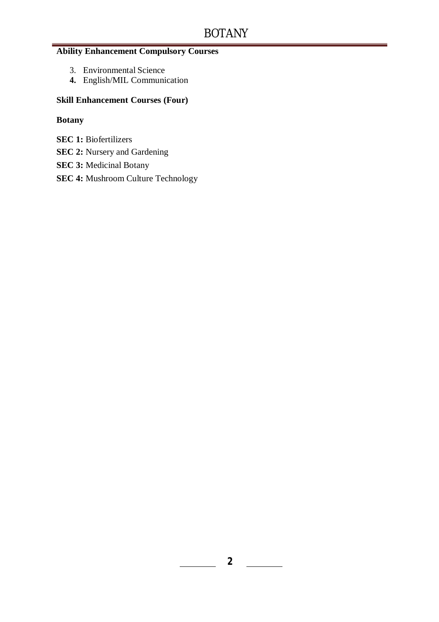## **Ability Enhancement Compulsory Courses**

- 3. Environmental Science
- **4.** English/MIL Communication

#### **Skill Enhancement Courses (Four)**

## **Botany**

- **SEC 1:** Biofertilizers
- **SEC 2:** Nursery and Gardening
- **SEC 3:** Medicinal Botany
- **SEC 4:** Mushroom Culture Technology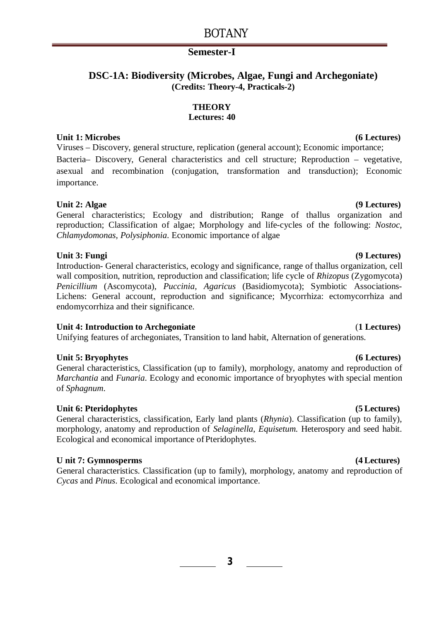# BOTANY

#### **Semester-I**

## **DSC-1A: Biodiversity (Microbes, Algae, Fungi and Archegoniate) (Credits: Theory-4, Practicals-2)**

#### **THEORY**

#### **Lectures: 40**

### **Unit 1: Microbes (6 Lectures)**

Viruses – Discovery, general structure, replication (general account); Economic importance; Bacteria– Discovery, General characteristics and cell structure; Reproduction – vegetative, asexual and recombination (conjugation, transformation and transduction); Economic importance.

#### **Unit 2: Algae (9 Lectures)**

General characteristics; Ecology and distribution; Range of thallus organization and reproduction; Classification of algae; Morphology and life-cycles of the following: *Nostoc*, *Chlamydomonas, Polysiphonia*. Economic importance of algae

#### **Unit 3: Fungi (9 Lectures)**

Introduction- General characteristics, ecology and significance, range of thallus organization, cell wall composition, nutrition, reproduction and classification; life cycle of *Rhizopus* (Zygomycota) *Penicillium* (Ascomycota), *Puccinia, Agaricus* (Basidiomycota); Symbiotic Associations-Lichens: General account, reproduction and significance; Mycorrhiza: ectomycorrhiza and endomycorrhiza and their significance.

## **Unit 4: Introduction to Archegoniate** (**1 Lectures)**

Unifying features of archegoniates, Transition to land habit, Alternation of generations.

## **Unit 5: Bryophytes (6 Lectures)**

General characteristics, Classification (up to family), morphology, anatomy and reproduction of *Marchantia* and *Funaria*. Ecology and economic importance of bryophytes with special mention of *Sphagnum*.

## **Unit 6: Pteridophytes (5 Lectures)**

General characteristics, classification, Early land plants (*Rhynia*). Classification (up to family), morphology, anatomy and reproduction of *Selaginella*, *Equisetum.* Heterospory and seed habit. Ecological and economical importance of Pteridophytes.

## **U nit 7: Gymnosperms (4 Lectures)**

General characteristics. Classification (up to family), morphology, anatomy and reproduction of *Cycas* and *Pinus*. Ecological and economical importance.